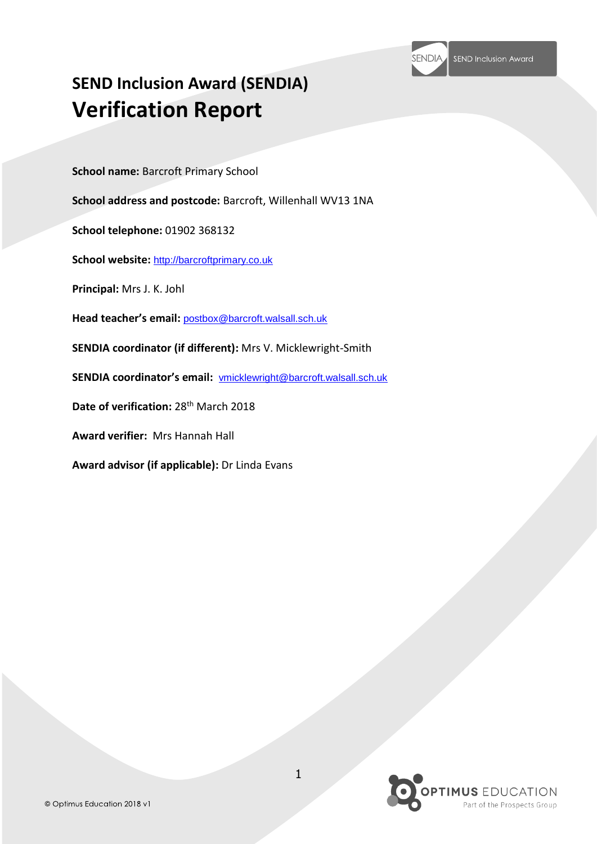

# **SEND Inclusion Award (SENDIA) Verification Report**

**School name:** Barcroft Primary School

**School address and postcode:** Barcroft, Willenhall WV13 1NA

**School telephone:** 01902 368132

**School website:** [http://barcroftprimary.co.uk](http://barcroftprimary.co.uk/)

**Principal:** Mrs J. K. Johl

**Head teacher's email:** [postbox@barcroft.walsall.sch.uk](mailto:postbox@barcroft.walsall.sch.uk)

**SENDIA coordinator (if different):** Mrs V. Micklewright-Smith

**SENDIA coordinator's email:** vmicklewright@barcroft.walsall.sch.uk

**Date of verification:** 28th March 2018

**Award verifier:** Mrs Hannah Hall

**Award advisor (if applicable):** Dr Linda Evans

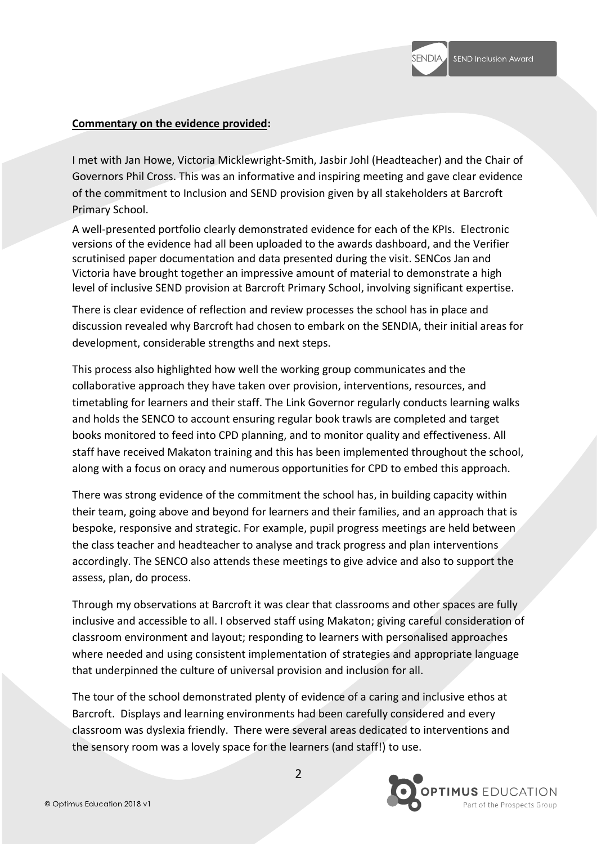

#### **Commentary on the evidence provided:**

I met with Jan Howe, Victoria Micklewright-Smith, Jasbir Johl (Headteacher) and the Chair of Governors Phil Cross. This was an informative and inspiring meeting and gave clear evidence of the commitment to Inclusion and SEND provision given by all stakeholders at Barcroft Primary School.

A well-presented portfolio clearly demonstrated evidence for each of the KPIs. Electronic versions of the evidence had all been uploaded to the awards dashboard, and the Verifier scrutinised paper documentation and data presented during the visit. SENCos Jan and Victoria have brought together an impressive amount of material to demonstrate a high level of inclusive SEND provision at Barcroft Primary School, involving significant expertise.

There is clear evidence of reflection and review processes the school has in place and discussion revealed why Barcroft had chosen to embark on the SENDIA, their initial areas for development, considerable strengths and next steps.

This process also highlighted how well the working group communicates and the collaborative approach they have taken over provision, interventions, resources, and timetabling for learners and their staff. The Link Governor regularly conducts learning walks and holds the SENCO to account ensuring regular book trawls are completed and target books monitored to feed into CPD planning, and to monitor quality and effectiveness. All staff have received Makaton training and this has been implemented throughout the school, along with a focus on oracy and numerous opportunities for CPD to embed this approach.

There was strong evidence of the commitment the school has, in building capacity within their team, going above and beyond for learners and their families, and an approach that is bespoke, responsive and strategic. For example, pupil progress meetings are held between the class teacher and headteacher to analyse and track progress and plan interventions accordingly. The SENCO also attends these meetings to give advice and also to support the assess, plan, do process.

Through my observations at Barcroft it was clear that classrooms and other spaces are fully inclusive and accessible to all. I observed staff using Makaton; giving careful consideration of classroom environment and layout; responding to learners with personalised approaches where needed and using consistent implementation of strategies and appropriate language that underpinned the culture of universal provision and inclusion for all.

The tour of the school demonstrated plenty of evidence of a caring and inclusive ethos at Barcroft. Displays and learning environments had been carefully considered and every classroom was dyslexia friendly. There were several areas dedicated to interventions and the sensory room was a lovely space for the learners (and staff!) to use.



2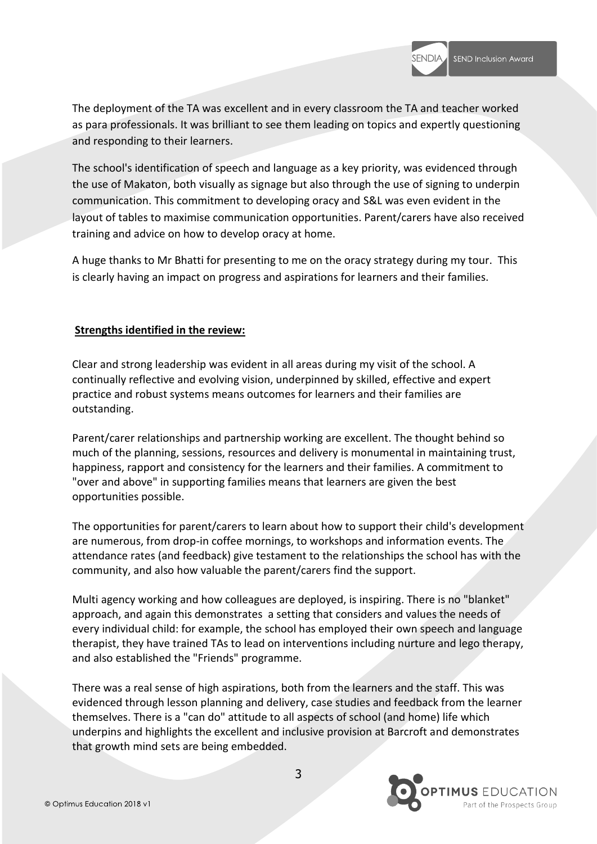

The deployment of the TA was excellent and in every classroom the TA and teacher worked as para professionals. It was brilliant to see them leading on topics and expertly questioning and responding to their learners.

The school's identification of speech and language as a key priority, was evidenced through the use of Makaton, both visually as signage but also through the use of signing to underpin communication. This commitment to developing oracy and S&L was even evident in the layout of tables to maximise communication opportunities. Parent/carers have also received training and advice on how to develop oracy at home.

A huge thanks to Mr Bhatti for presenting to me on the oracy strategy during my tour. This is clearly having an impact on progress and aspirations for learners and their families.

## **Strengths identified in the review:**

Clear and strong leadership was evident in all areas during my visit of the school. A continually reflective and evolving vision, underpinned by skilled, effective and expert practice and robust systems means outcomes for learners and their families are outstanding.

Parent/carer relationships and partnership working are excellent. The thought behind so much of the planning, sessions, resources and delivery is monumental in maintaining trust, happiness, rapport and consistency for the learners and their families. A commitment to "over and above" in supporting families means that learners are given the best opportunities possible.

The opportunities for parent/carers to learn about how to support their child's development are numerous, from drop-in coffee mornings, to workshops and information events. The attendance rates (and feedback) give testament to the relationships the school has with the community, and also how valuable the parent/carers find the support.

Multi agency working and how colleagues are deployed, is inspiring. There is no "blanket" approach, and again this demonstrates a setting that considers and values the needs of every individual child: for example, the school has employed their own speech and language therapist, they have trained TAs to lead on interventions including nurture and lego therapy, and also established the "Friends" programme.

There was a real sense of high aspirations, both from the learners and the staff. This was evidenced through lesson planning and delivery, case studies and feedback from the learner themselves. There is a "can do" attitude to all aspects of school (and home) life which underpins and highlights the excellent and inclusive provision at Barcroft and demonstrates that growth mind sets are being embedded.



3